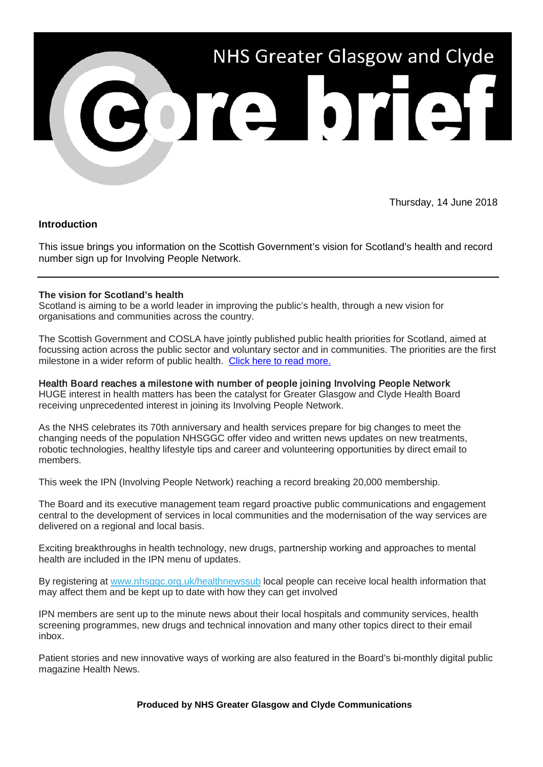

Thursday, 14 June 2018

## **Introduction**

This issue brings you information on the Scottish Government's vision for Scotland's health and record number sign up for Involving People Network.

## **The vision for Scotland's health**

Scotland is aiming to be a world leader in improving the public's health, through a new vision for organisations and communities across the country.

The Scottish Government and COSLA have jointly published public health priorities for Scotland, aimed at focussing action across the public sector and voluntary sector and in communities. The priorities are the first milestone in a wider reform of public health. [Click here to read more.](https://news.gov.scot/news/the-vision-for-scotlands-health)

Health Board reaches a milestone with number of people joining Involving People Network HUGE interest in health matters has been the catalyst for Greater Glasgow and Clyde Health Board receiving unprecedented interest in joining its Involving People Network.

As the NHS celebrates its 70th anniversary and health services prepare for big changes to meet the changing needs of the population NHSGGC offer video and written news updates on new treatments, robotic technologies, healthy lifestyle tips and career and volunteering opportunities by direct email to members.

This week the IPN (Involving People Network) reaching a record breaking 20,000 membership.

The Board and its executive management team regard proactive public communications and engagement central to the development of services in local communities and the modernisation of the way services are delivered on a regional and local basis.

Exciting breakthroughs in health technology, new drugs, partnership working and approaches to mental health are included in the IPN menu of updates.

By registering at [www.nhsggc.org.uk/healthnewssub](https://nhsggc.us12.list-manage.com/track/click?u=0f385b5aea37eaf0213bd19fb&id=bf5510d638&e=5af5e1832c) local people can receive local health information that may affect them and be kept up to date with how they can get involved

IPN members are sent up to the minute news about their local hospitals and community services, health screening programmes, new drugs and technical innovation and many other topics direct to their email inbox.

Patient stories and new innovative ways of working are also featured in the Board's bi-monthly digital public magazine Health News.

**Produced by NHS Greater Glasgow and Clyde Communications**